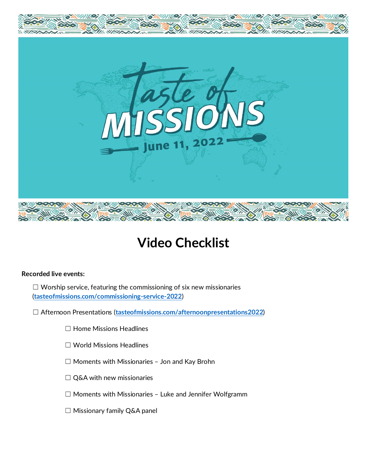

# **Video Checklist**

### **Recorded live events:**

 $\Box$  Worship service, featuring the commissioning of six new missionaries (**[tasteofmissions.com/commissioning-service-2022](https://tasteofmissions.com/commissioning-service-2022/)**)

☐ Afternoon Presentations (**[tasteofmissions.com/afternoonpresentations2022](https://tasteofmissions.com/afternoonpresentations2022/)**)

- ☐ Home Missions Headlines
- ☐ World Missions Headlines
- ☐ Moments with Missionaries Jon and Kay Brohn
- □ Q&A with new missionaries
- ☐ Moments with Missionaries Luke and Jennifer Wolfgramm
- ☐ Missionary family Q&A panel